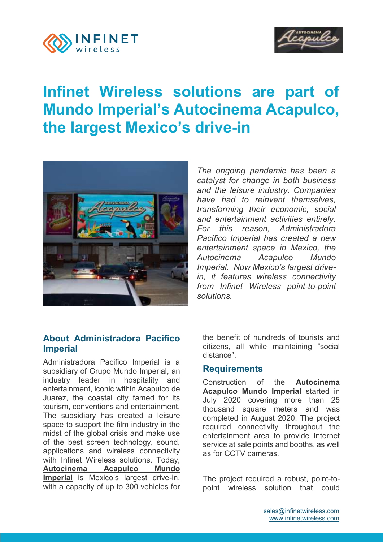



# **Infinet Wireless solutions are part of Mundo Imperial's Autocinema Acapulco, the largest Mexico's drive-in**



*The ongoing pandemic has been a catalyst for change in both business and the leisure industry. Companies have had to reinvent themselves, transforming their economic, social and entertainment activities entirely. For this reason, Administradora Pacífico Imperial has created a new entertainment space in Mexico, the Autocinema Acapulco Mundo Imperial. Now Mexico's largest drivein, it features wireless connectivity from Infinet Wireless point-to-point solutions.*

# **About Administradora Pacifico Imperial**

Administradora Pacifico Imperial is a subsidiary of [Grupo Mundo Imperial,](http://www.mundoimperial.com/) an industry leader in hospitality and entertainment, iconic within Acapulco de Juarez, the coastal city famed for its tourism, conventions and entertainment. The subsidiary has created a leisure space to support the film industry in the midst of the global crisis and make use of the best screen technology, sound, applications and wireless connectivity with Infinet Wireless solutions. Today, **Autocinema Acapulco Mundo Imperial** is Mexico's largest drive-in, with a capacity of up to 300 vehicles for the benefit of hundreds of tourists and citizens, all while maintaining "social distance".

#### **Requirements**

Construction of the **Autocinema Acapulco Mundo Imperial** started in July 2020 covering more than 25 thousand square meters and was completed in August 2020. The project required connectivity throughout the entertainment area to provide Internet service at sale points and booths, as well as for CCTV cameras.

The project required a robust, point-topoint wireless solution that could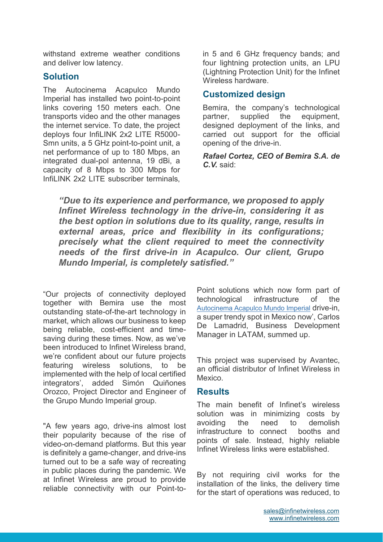withstand extreme weather conditions and deliver low latency.

#### **Solution**

The Autocinema Acapulco Mundo Imperial has installed two point-to-point links covering 150 meters each. One transports video and the other manages the internet service. To date, the project deploys four InfiLINK 2x2 LITE R5000- Smn units, a 5 GHz point-to-point unit, a net performance of up to 180 Mbps, an integrated dual-pol antenna, 19 dBi, a capacity of 8 Mbps to 300 Mbps for InfiLINK 2x2 LITE subscriber terminals,

in 5 and 6 GHz frequency bands; and four lightning protection units, an LPU (Lightning Protection Unit) for the Infinet Wireless hardware.

#### **Customized design**

Bemira, the company's technological partner, supplied the equipment. designed deployment of the links, and carried out support for the official opening of the drive-in.

*Rafael Cortez, CEO of Bemira S.A. de C.V.* said:

*"Due to its experience and performance, we proposed to apply Infinet Wireless technology in the drive-in, considering it as the best option in solutions due to its quality, range, results in external areas, price and flexibility in its configurations; precisely what the client required to meet the connectivity needs of the first drive-in in Acapulco. Our client, Grupo Mundo Imperial, is completely satisfied."*

"Our projects of connectivity deployed together with Bemira use the most outstanding state-of-the-art technology in market, which allows our business to keep being reliable, cost-efficient and timesaving during these times. Now, as we've been introduced to Infinet Wireless brand, we're confident about our future projects featuring wireless solutions, to be implemented with the help of local certified integrators', added Simón Quiñones Orozco, Project Director and Engineer of the Grupo Mundo Imperial group.

"A few years ago, drive-ins almost lost their popularity because of the rise of video-on-demand platforms. But this year is definitely a game-changer, and drive-ins turned out to be a safe way of recreating in public places during the pandemic. We at Infinet Wireless are proud to provide reliable connectivity with our Point-to-

Point solutions which now form part of technological infrastructure of the [Autocinema Acapulco Mundo Imperial](http://autocinemaimperial.com/) drive-in, a super trendy spot in Mexico now', Carlos De Lamadrid, Business Development Manager in LATAM, summed up.

This project was supervised by Avantec, an official distributor of Infinet Wireless in Mexico.

#### **Results**

The main benefit of Infinet's wireless solution was in minimizing costs by avoiding the need to demolish infrastructure to connect booths and points of sale. Instead, highly reliable Infinet Wireless links were established.

By not requiring civil works for the installation of the links, the delivery time for the start of operations was reduced, to